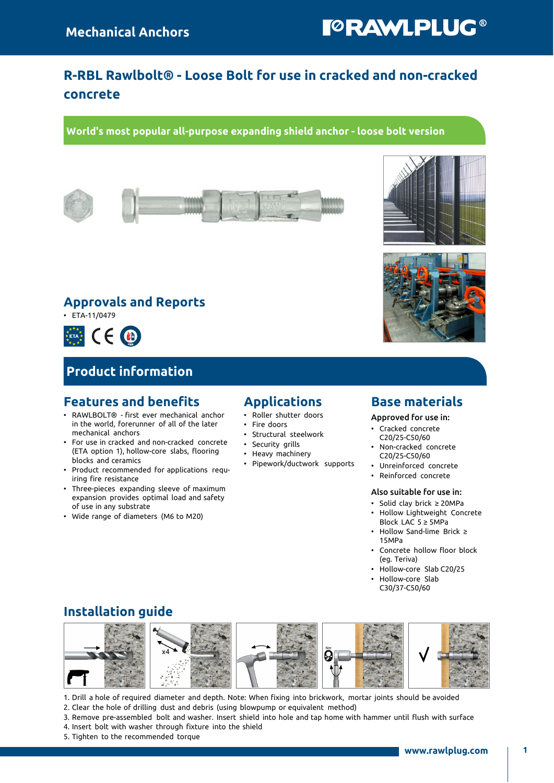# **TORAWLPLUG®**

## R-RBL Rawlbolt® - Loose Bolt for use in cracked and non-cracked concrete

World's most popular all-purpose expanding shield anchor - loose bolt version









### Approvals and Reports

• ETA-11/0479



### Product information

### Features and benefits

- RAWLBOLT® first ever mechanical anchor in the world, forerunner of all of the later mechanical anchors
- For use in cracked and non-cracked concrete (ETA option 1), hollow-core slabs, flooring blocks and ceramics
- Product recommended for applications requiring fire resistance
- Three-pieces expanding sleeve of maximum expansion provides optimal load and safety of use in any substrate
- Wide range of diameters (M6 to M20)

### Applications

- Roller shutter doors
- Fire doors
- Structural steelwork
- Security grills
- Heavy machinery
- Pipework/ductwork supports

### Base materials

Approved for use in:

- Cracked concrete C20/25-C50/60
- Non-cracked concrete C20/25-C50/60
- Unreinforced concrete
- Reinforced concrete

#### Also suitable for use in:

- Solid clay brick ≥ 20MPa • Hollow Lightweight Concrete
- Block LAC 5 ≥ 5MPa
- Hollow Sand-lime Brick ≥ 15MPa
- Concrete hollow floor block (eg. Teriva)
- Hollow-core Slab C20/25
- Hollow-core Slab C30/37-C50/60

### Installation guide



1. Drill a hole of required diameter and depth. Note: When fixing into brickwork, mortar joints should be avoided

- 2. Clear the hole of drilling dust and debris (using blowpump or equivalent method)
- 3. Remove pre-assembled bolt and washer. Insert shield into hole and tap home with hammer until flush with surface
- 4. Insert bolt with washer through fixture into the shield
- 5. Tighten to the recommended torque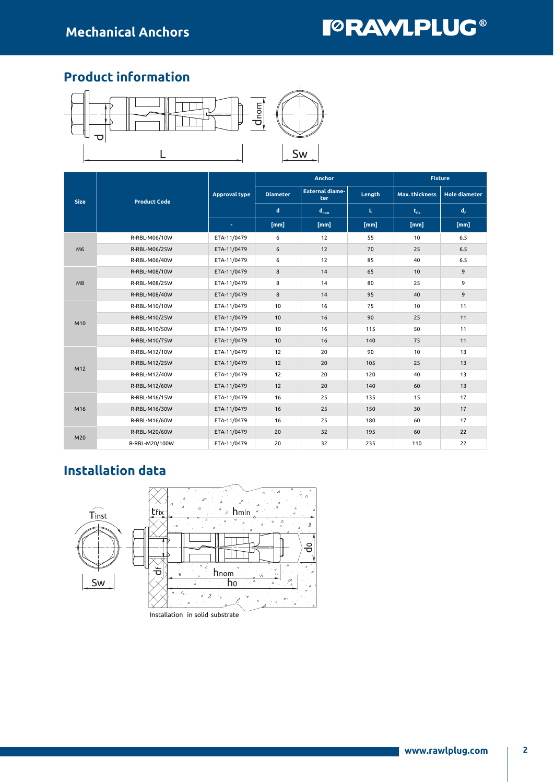# **TORAWLPLUG®**

### Product information



|                |                     |                      |                 | <b>Anchor</b>                 |        | <b>Fixture</b>        |                      |  |  |
|----------------|---------------------|----------------------|-----------------|-------------------------------|--------|-----------------------|----------------------|--|--|
| <b>Size</b>    | <b>Product Code</b> | <b>Approval type</b> | <b>Diameter</b> | <b>External diame-</b><br>ter | Length | <b>Max. thickness</b> | <b>Hole diameter</b> |  |  |
|                |                     |                      | d               | $d_{nom}$                     | L.     | $t_{fix}$             | $d_{\rm f}$          |  |  |
|                |                     | $\blacksquare$       | [mm]            | [mm]                          | [mm]   | [mm]                  | [mm]                 |  |  |
|                | R-RBL-M06/10W       | ETA-11/0479          | 6               | 12                            | 55     | 10                    | 6.5                  |  |  |
| M <sub>6</sub> | R-RBL-M06/25W       | ETA-11/0479          | 6               | 12                            | 70     | 25                    | 6.5                  |  |  |
|                | R-RBL-M06/40W       | ETA-11/0479          | 6               | 12                            | 85     | 40                    | 6.5                  |  |  |
|                | R-RBL-M08/10W       | ETA-11/0479          | 8               | 14                            | 65     | 10                    | 9                    |  |  |
| M8             | R-RBL-M08/25W       | ETA-11/0479          | 8               | 14                            | 80     | 25                    | 9                    |  |  |
|                | R-RBL-M08/40W       | ETA-11/0479          | 8               | 14                            | 95     | 40                    | 9                    |  |  |
|                | R-RBL-M10/10W       | ETA-11/0479          | 10              | 16                            | 75     | 10                    | 11                   |  |  |
| M10            | R-RBL-M10/25W       | ETA-11/0479          | 10              | 16                            | 90     | 25                    | 11                   |  |  |
|                | R-RBL-M10/50W       | ETA-11/0479          | 10              | 16                            | 115    | 50                    | 11                   |  |  |
|                | R-RBL-M10/75W       | ETA-11/0479          | 10              | 16                            | 140    | 75                    | 11                   |  |  |
|                | R-RBL-M12/10W       | ETA-11/0479          | 12              | 20                            | 90     | 10                    | 13                   |  |  |
| M12            | R-RBL-M12/25W       | ETA-11/0479          | 12              | 20                            | 105    | 25                    | 13                   |  |  |
|                | R-RBL-M12/40W       | ETA-11/0479          | 12              | 20                            | 120    | 40                    | 13                   |  |  |
|                | R-RBL-M12/60W       | ETA-11/0479          | 12              | 20                            | 140    | 60                    | 13                   |  |  |
|                | R-RBL-M16/15W       | ETA-11/0479          | 16              | 25                            | 135    | 15                    | 17                   |  |  |
| M16            | R-RBL-M16/30W       | ETA-11/0479          | 16              | 25                            | 150    | 30                    | 17                   |  |  |
|                | R-RBL-M16/60W       | ETA-11/0479          | 16              | 25                            | 180    | 60                    | 17                   |  |  |
|                | R-RBL-M20/60W       | ETA-11/0479          | 20              | 32                            | 195    | 60                    | 22                   |  |  |
| M20            | R-RBL-M20/100W      | ETA-11/0479          | 20              | 32                            | 235    | 110                   | 22                   |  |  |

# Installation data



Installation in solid substrate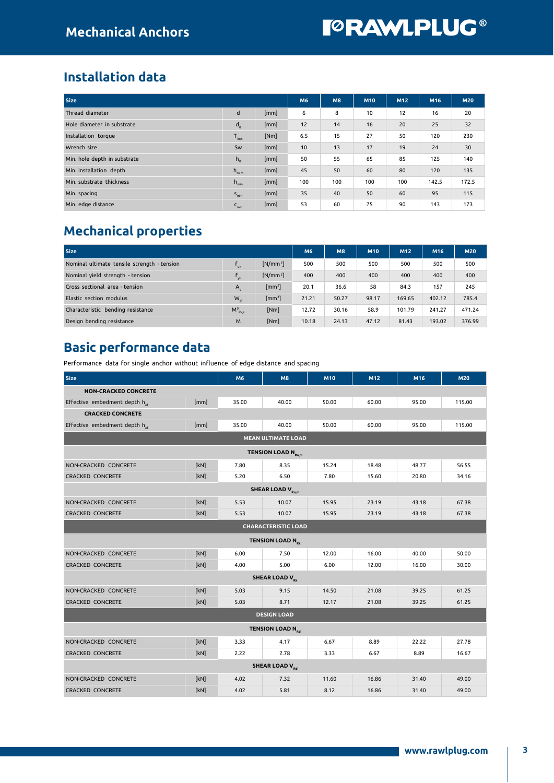### Installation data

| <b>Size</b>                  |                  |      | M6  | <b>M8</b> | M <sub>10</sub> | M12 | M <sub>16</sub> | <b>M20</b> |
|------------------------------|------------------|------|-----|-----------|-----------------|-----|-----------------|------------|
| Thread diameter              | d                | [mm] | 6   | 8         | 10              | 12  | 16              | 20         |
| Hole diameter in substrate   | d <sub>o</sub>   | [mm] | 12  | 14        | 16              | 20  | 25              | 32         |
| Installation torque          | $T_{inst}$       | [Nm] | 6.5 | 15        | 27              | 50  | 120             | 230        |
| Wrench size                  | Sw               | [mm] | 10  | 13        | 17              | 19  | 24              | 30         |
| Min. hole depth in substrate | $h_{0}$          | [mm] | 50  | 55        | 65              | 85  | 125             | 140        |
| Min. installation depth      | $h_{\text{nom}}$ | [mm] | 45  | 50        | 60              | 80  | 120             | 135        |
| Min. substrate thickness     | $h_{\min}$       | [mm] | 100 | 100       | 100             | 100 | 142.5           | 172.5      |
| Min. spacing                 | $S_{\min}$       | [mm] | 35  | 40        | 50              | 60  | 95              | 115        |
| Min. edge distance           | $C_{\text{min}}$ | [mm] | 53  | 60        | 75              | 90  | 143             | 173        |

# Mechanical properties

| <b>Size</b>                                 | <b>M6</b>       | M <sub>8</sub>             | M10   | M12   | M16   | <b>M20</b> |        |        |
|---------------------------------------------|-----------------|----------------------------|-------|-------|-------|------------|--------|--------|
| Nominal ultimate tensile strength - tension | l uk            | $[N/mm^2]$                 | 500   | 500   | 500   | 500        | 500    | 500    |
| Nominal yield strength - tension            | $f_{\rm vk}$    | $[N/mm^2]$                 | 400   | 400   | 400   | 400        | 400    | 400    |
| Cross sectional area - tension              | $A_{\epsilon}$  | [mm <sup>2</sup> ]         | 20.1  | 36.6  | 58    | 84.3       | 157    | 245    |
| Elastic section modulus                     | W <sub>el</sub> | $\left[\text{mm}^3\right]$ | 21.21 | 50.27 | 98.17 | 169.65     | 402.12 | 785.4  |
| Characteristic bending resistance           | $M_{Rk,s}^0$    | [Nm]                       | 12.72 | 30.16 | 58.9  | 101.79     | 241.27 | 471.24 |
| Design bending resistance                   | M               | [Nm]                       | 10.18 | 24.13 | 47.12 | 81.43      | 193.02 | 376.99 |

# Basic performance data

Performance data for single anchor without influence of edge distance and spacing

| <b>Size</b>                               |      | M6    | M8                                 | M10   | M12   | M16   | <b>M20</b> |  |  |  |
|-------------------------------------------|------|-------|------------------------------------|-------|-------|-------|------------|--|--|--|
| <b>NON-CRACKED CONCRETE</b>               |      |       |                                    |       |       |       |            |  |  |  |
| Effective embedment depth h <sub>ef</sub> | [mm] | 35.00 | 40.00                              | 50.00 | 60.00 | 95.00 | 115.00     |  |  |  |
| <b>CRACKED CONCRETE</b>                   |      |       |                                    |       |       |       |            |  |  |  |
| Effective embedment depth her             | [mm] | 35.00 | 40.00                              | 50.00 | 60.00 | 95.00 | 115.00     |  |  |  |
| <b>MEAN ULTIMATE LOAD</b>                 |      |       |                                    |       |       |       |            |  |  |  |
| TENSION LOAD N <sub>Ru,m</sub>            |      |       |                                    |       |       |       |            |  |  |  |
| NON-CRACKED CONCRETE                      | [kN] | 7.80  | 8.35                               | 15.24 | 18.48 | 48.77 | 56.55      |  |  |  |
| <b>CRACKED CONCRETE</b>                   | [kN] | 5.20  | 6.50                               | 7.80  | 15.60 | 20.80 | 34.16      |  |  |  |
| <b>SHEAR LOAD V<sub>Ru,m</sub></b>        |      |       |                                    |       |       |       |            |  |  |  |
| NON-CRACKED CONCRETE                      | [kN] | 5.53  | 10.07                              | 15.95 | 23.19 | 43.18 | 67.38      |  |  |  |
| <b>CRACKED CONCRETE</b>                   | [kN] | 5.53  | 10.07                              | 15.95 | 23.19 | 43.18 | 67.38      |  |  |  |
|                                           |      |       | <b>CHARACTERISTIC LOAD</b>         |       |       |       |            |  |  |  |
|                                           |      |       | <b>TENSION LOAD N<sub>Rk</sub></b> |       |       |       |            |  |  |  |
| NON-CRACKED CONCRETE                      | [kN] | 6.00  | 7.50                               | 12.00 | 16.00 | 40.00 | 50.00      |  |  |  |
| <b>CRACKED CONCRETE</b>                   | [kN] | 4.00  | 5.00                               | 6.00  | 12.00 | 16.00 | 30.00      |  |  |  |
|                                           |      |       | <b>SHEAR LOAD V<sub>Rk</sub></b>   |       |       |       |            |  |  |  |
| NON-CRACKED CONCRETE                      | [kN] | 5.03  | 9.15                               | 14.50 | 21.08 | 39.25 | 61.25      |  |  |  |
| <b>CRACKED CONCRETE</b>                   | [kN] | 5.03  | 8.71                               | 12.17 | 21.08 | 39.25 | 61.25      |  |  |  |
|                                           |      |       | <b>DESIGN LOAD</b>                 |       |       |       |            |  |  |  |
| <b>TENSION LOAD N<sub>Rd</sub></b>        |      |       |                                    |       |       |       |            |  |  |  |
| NON-CRACKED CONCRETE                      | [kN] | 3.33  | 4.17                               | 6.67  | 8.89  | 22.22 | 27.78      |  |  |  |
| <b>CRACKED CONCRETE</b>                   | [kN] | 2.22  | 2.78                               | 3.33  | 6.67  | 8.89  | 16.67      |  |  |  |
|                                           |      |       | <b>SHEAR LOAD V<sub>Rd</sub></b>   |       |       |       |            |  |  |  |
| NON-CRACKED CONCRETE                      | [kN] | 4.02  | 7.32                               | 11.60 | 16.86 | 31.40 | 49.00      |  |  |  |
| <b>CRACKED CONCRETE</b>                   | [kN] | 4.02  | 5.81                               | 8.12  | 16.86 | 31.40 | 49.00      |  |  |  |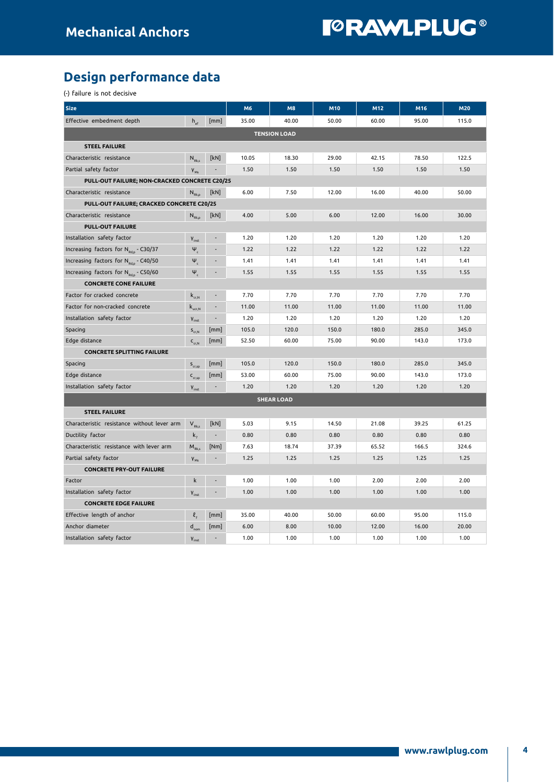# Design performance data

(-) failure is not decisive

| <b>Size</b>                                       |                                                   |                          | M6    | M8                  | M10   | M12   | M16   | <b>M20</b> |
|---------------------------------------------------|---------------------------------------------------|--------------------------|-------|---------------------|-------|-------|-------|------------|
| Effective embedment depth                         | $h_{\alpha}$                                      | [mm]                     | 35.00 | 40.00               | 50.00 | 60.00 | 95.00 | 115.0      |
|                                                   |                                                   |                          |       | <b>TENSION LOAD</b> |       |       |       |            |
| <b>STEEL FAILURE</b>                              |                                                   |                          |       |                     |       |       |       |            |
| Characteristic resistance                         | $N_{Rk,s}$                                        | [kN]                     | 10.05 | 18.30               | 29.00 | 42.15 | 78.50 | 122.5      |
| Partial safety factor                             | $V_{Ms}$                                          |                          | 1.50  | 1.50                | 1.50  | 1.50  | 1.50  | 1.50       |
| PULL-OUT FAILURE; NON-CRACKED CONCRETE C20/25     |                                                   |                          |       |                     |       |       |       |            |
| Characteristic resistance                         | $N_{Rk,p}$                                        | [kN]                     | 6.00  | 7.50                | 12.00 | 16.00 | 40.00 | 50.00      |
| PULL-OUT FAILURE; CRACKED CONCRETE C20/25         |                                                   |                          |       |                     |       |       |       |            |
| Characteristic resistance                         | $N_{\rm Rk,p}$                                    | [kN]                     | 4.00  | 5.00                | 6.00  | 12.00 | 16.00 | 30.00      |
| <b>PULL-OUT FAILURE</b>                           |                                                   |                          |       |                     |       |       |       |            |
| Installation safety factor                        | <b>Y</b> inst                                     |                          | 1.20  | 1.20                | 1.20  | 1.20  | 1.20  | 1.20       |
| Increasing factors for N <sub>Rdp</sub> - C30/37  | $\Psi_c$                                          |                          | 1.22  | 1.22                | 1.22  | 1.22  | 1.22  | 1.22       |
| Increasing factors for N <sub>Rd,p</sub> - C40/50 | $\Psi_c$                                          |                          | 1.41  | 1.41                | 1.41  | 1.41  | 1.41  | 1.41       |
| Increasing factors for N <sub>Rd.p</sub> - C50/60 | $\Psi_c$                                          |                          | 1.55  | 1.55                | 1.55  | 1.55  | 1.55  | 1.55       |
| <b>CONCRETE CONE FAILURE</b>                      |                                                   |                          |       |                     |       |       |       |            |
| Factor for cracked concrete                       | $\mathsf{k}_{_{\mathrm{cr},\mathrm{N}}}$          | $\overline{\phantom{a}}$ | 7.70  | 7.70                | 7.70  | 7.70  | 7.70  | 7.70       |
| Factor for non-cracked concrete                   | $\mathsf{k}_{_{\sf ucr,N}}$                       | $\overline{\phantom{a}}$ | 11.00 | 11.00               | 11.00 | 11.00 | 11.00 | 11.00      |
| Installation safety factor                        | $V_{inst}$                                        | $\sim$                   | 1.20  | 1.20                | 1.20  | 1.20  | 1.20  | 1.20       |
| Spacing                                           | $S_{cr,N}$                                        | [mm]                     | 105.0 | 120.0               | 150.0 | 180.0 | 285.0 | 345.0      |
| Edge distance                                     | $\mathsf{C}_{_{\mathsf{C}\mathsf{F},\mathsf{N}}}$ | [mm]                     | 52.50 | 60.00               | 75.00 | 90.00 | 143.0 | 173.0      |
| <b>CONCRETE SPLITTING FAILURE</b>                 |                                                   |                          |       |                     |       |       |       |            |
| Spacing                                           | $\mathsf{S}_{_{\mathsf{cr,sp}}}$                  | [mm]                     | 105.0 | 120.0               | 150.0 | 180.0 | 285.0 | 345.0      |
| Edge distance                                     | $\mathsf{C}_{\operatorname{cr,sp}}$               | [mm]                     | 53.00 | 60.00               | 75.00 | 90.00 | 143.0 | 173.0      |
| Installation safety factor                        | $V_{inst}$                                        | $\overline{\phantom{a}}$ | 1.20  | 1.20                | 1.20  | 1.20  | 1.20  | 1.20       |
|                                                   |                                                   |                          |       | <b>SHEAR LOAD</b>   |       |       |       |            |
| <b>STEEL FAILURE</b>                              |                                                   |                          |       |                     |       |       |       |            |
| Characteristic resistance without lever arm       | $V_{Rk,s}$                                        | [kN]                     | 5.03  | 9.15                | 14.50 | 21.08 | 39.25 | 61.25      |
| Ductility factor                                  | $k_{7}$                                           | $\overline{\phantom{a}}$ | 0.80  | 0.80                | 0.80  | 0.80  | 0.80  | 0.80       |
| Characteristic resistance with lever arm          | $M_{Rk,s}$                                        | [Nm]                     | 7.63  | 18.74               | 37.39 | 65.52 | 166.5 | 324.6      |
| Partial safety factor                             | $V_{Ms}$                                          |                          | 1.25  | 1.25                | 1.25  | 1.25  | 1.25  | 1.25       |
| <b>CONCRETE PRY-OUT FAILURE</b>                   |                                                   |                          |       |                     |       |       |       |            |
| Factor                                            | k                                                 |                          | 1.00  | 1.00                | 1.00  | 2.00  | 2.00  | 2.00       |
| Installation safety factor                        | $V_{inst}$                                        |                          | 1.00  | 1.00                | 1.00  | 1.00  | 1.00  | 1.00       |
| <b>CONCRETE EDGE FAILURE</b>                      |                                                   |                          |       |                     |       |       |       |            |
| Effective length of anchor                        | l,                                                | [mm]                     | 35.00 | 40.00               | 50.00 | 60.00 | 95.00 | 115.0      |
| Anchor diameter                                   | $\mathsf{d}_{\mathsf{nom}}$                       | [mm]                     | 6.00  | 8.00                | 10.00 | 12.00 | 16.00 | 20.00      |
| Installation safety factor                        | $V_{inst}$                                        |                          | 1.00  | 1.00                | 1.00  | 1.00  | 1.00  | 1.00       |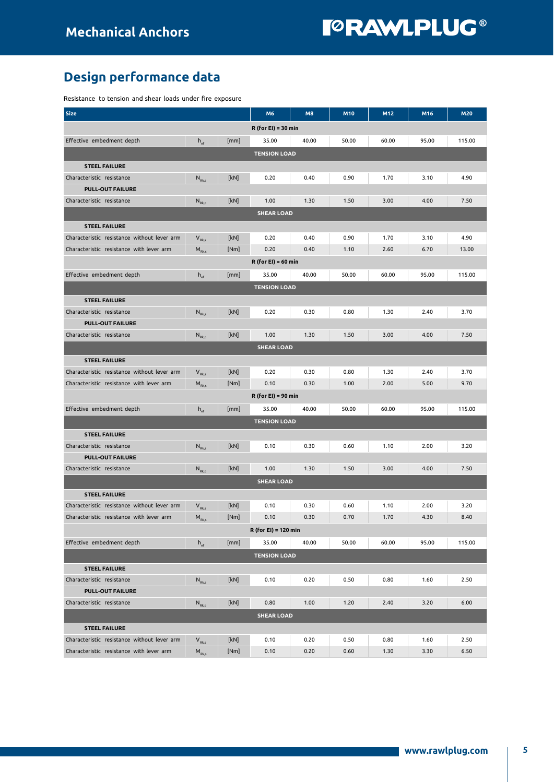# Design performance data

Resistance to tension and shear loads under fire exposure

| <b>Size</b>                                                                             |                                                         |              | M6                    | M8           | M10          | M12          | M16          | <b>M20</b>   |  |  |
|-----------------------------------------------------------------------------------------|---------------------------------------------------------|--------------|-----------------------|--------------|--------------|--------------|--------------|--------------|--|--|
|                                                                                         |                                                         |              | $R$ (for EI) = 30 min |              |              |              |              |              |  |  |
| Effective embedment depth                                                               | $h_{\text{ef}}$                                         | [mm]         | 35.00                 | 40.00        | 50.00        | 60.00        | 95.00        | 115.00       |  |  |
|                                                                                         |                                                         |              | <b>TENSION LOAD</b>   |              |              |              |              |              |  |  |
| <b>STEEL FAILURE</b>                                                                    |                                                         |              |                       |              |              |              |              |              |  |  |
| Characteristic resistance                                                               | $N_{Rk,s}$                                              | [kN]         | 0.20                  | 0.40         | 0.90         | 1.70         | 3.10         | 4.90         |  |  |
| <b>PULL-OUT FAILURE</b>                                                                 |                                                         |              |                       |              |              |              |              |              |  |  |
| Characteristic resistance                                                               | $N_{\text{Rk},p}$                                       | [kN]         | 1.00                  | 1.30         | 1.50         | 3.00         | 4.00         | 7.50         |  |  |
|                                                                                         |                                                         |              | <b>SHEAR LOAD</b>     |              |              |              |              |              |  |  |
| <b>STEEL FAILURE</b>                                                                    |                                                         |              |                       |              |              |              |              |              |  |  |
| Characteristic resistance without lever arm                                             | $V_{Rk,s}$                                              | [kN]         | 0.20                  | 0.40         | 0.90         | 1.70         | 3.10         | 4.90         |  |  |
| Characteristic resistance with lever arm                                                | $M_{Rk,s}$                                              | [Nm]         | 0.20                  | 0.40         | 1.10         | 2.60         | 6.70         | 13.00        |  |  |
|                                                                                         |                                                         |              | $R$ (for EI) = 60 min |              |              |              |              |              |  |  |
| Effective embedment depth                                                               | $h_{\text{ef}}$                                         | [mm]         | 35.00                 | 40.00        | 50.00        | 60.00        | 95.00        | 115.00       |  |  |
|                                                                                         |                                                         |              | <b>TENSION LOAD</b>   |              |              |              |              |              |  |  |
| <b>STEEL FAILURE</b>                                                                    |                                                         |              |                       |              |              |              |              |              |  |  |
| Characteristic resistance                                                               | $N_{Rk,s}$                                              | [kN]         | 0.20                  | 0.30         | 0.80         | 1.30         | 2.40         | 3.70         |  |  |
| <b>PULL-OUT FAILURE</b>                                                                 |                                                         |              |                       |              |              |              |              |              |  |  |
| Characteristic resistance                                                               | $N_{\text{Rk},p}$                                       | [kN]         | 1.00                  | 1.30         | 1.50         | 3.00         | 4.00         | 7.50         |  |  |
|                                                                                         |                                                         |              | <b>SHEAR LOAD</b>     |              |              |              |              |              |  |  |
| <b>STEEL FAILURE</b>                                                                    |                                                         |              |                       |              |              |              |              |              |  |  |
| Characteristic resistance without lever arm                                             | $V_{Rk,s}$                                              | [kN]         | 0.20                  | 0.30         | 0.80         | 1.30         | 2.40         | 3.70         |  |  |
| Characteristic resistance with lever arm                                                | $M_{Rk,s}$                                              | [Nm]         | 0.10                  | 0.30         | 1.00         | 2.00         | 5.00         | 9.70         |  |  |
|                                                                                         |                                                         |              | $R$ (for EI) = 90 min |              |              |              |              |              |  |  |
| Effective embedment depth                                                               | $h_{\text{ef}}$                                         | [mm]         | 35.00                 | 40.00        | 50.00        | 60.00        | 95.00        | 115.00       |  |  |
|                                                                                         |                                                         |              | <b>TENSION LOAD</b>   |              |              |              |              |              |  |  |
|                                                                                         |                                                         |              |                       |              |              |              |              |              |  |  |
| <b>STEEL FAILURE</b><br>Characteristic resistance                                       |                                                         | [kN]         | 0.10                  | 0.30         | 0.60         | 1.10         | 2.00         | 3.20         |  |  |
| <b>PULL-OUT FAILURE</b>                                                                 | $\mathsf{N}_{\textrm{\tiny{Rk}},\textrm{s}}$            |              |                       |              |              |              |              |              |  |  |
| Characteristic resistance                                                               | $\mathsf{N}_{\scriptscriptstyle\mathsf{Rk},\mathsf{p}}$ | [kN]         | 1.00                  | 1.30         | 1.50         | 3.00         | 4.00         | 7.50         |  |  |
|                                                                                         |                                                         |              | <b>SHEAR LOAD</b>     |              |              |              |              |              |  |  |
| <b>STEEL FAILURE</b>                                                                    |                                                         |              |                       |              |              |              |              |              |  |  |
| Characteristic resistance without lever arm                                             | $V_{Rk,s}$                                              | [kN]         | 0.10                  | 0.30         | 0.60         | 1.10         | 2.00         | 3.20         |  |  |
| Characteristic resistance with lever arm                                                | $M_{Rk,s}$                                              | [Nm]         | 0.10                  | 0.30         | 0.70         | 1.70         | 4.30         | 8.40         |  |  |
|                                                                                         |                                                         |              | R (for EI) = 120 min  |              |              |              |              |              |  |  |
| Effective embedment depth                                                               |                                                         | [mm]         | 35.00                 | 40.00        | 50.00        | 60.00        | 95.00        | 115.00       |  |  |
|                                                                                         | $h_{\text{ef}}$                                         |              |                       |              |              |              |              |              |  |  |
| <b>TENSION LOAD</b>                                                                     |                                                         |              |                       |              |              |              |              |              |  |  |
| <b>STEEL FAILURE</b>                                                                    |                                                         |              |                       |              |              |              |              |              |  |  |
| Characteristic resistance<br><b>PULL-OUT FAILURE</b>                                    | $N_{Rk,s}$                                              | [kN]         | 0.10                  | 0.20         | 0.50         | 0.80         | 1.60         | 2.50         |  |  |
| Characteristic resistance                                                               |                                                         | [kN]         | 0.80                  | 1.00         | 1.20         | 2.40         | 3.20         | 6.00         |  |  |
|                                                                                         | $\mathsf{N}_{\scriptscriptstyle\mathsf{Rk},\mathsf{p}}$ |              |                       |              |              |              |              |              |  |  |
|                                                                                         |                                                         |              | <b>SHEAR LOAD</b>     |              |              |              |              |              |  |  |
| <b>STEEL FAILURE</b>                                                                    |                                                         |              |                       |              |              |              |              |              |  |  |
| Characteristic resistance without lever arm<br>Characteristic resistance with lever arm | $\mathbf{V}_{_{\mathrm{Rk},\mathrm{s}}}$                | [kN]<br>[Nm] | 0.10<br>0.10          | 0.20<br>0.20 | 0.50<br>0.60 | 0.80<br>1.30 | 1.60<br>3.30 | 2.50<br>6.50 |  |  |
|                                                                                         | $\mathsf{M}_{\textrm{\tiny Rk},\textrm{s}}$             |              |                       |              |              |              |              |              |  |  |